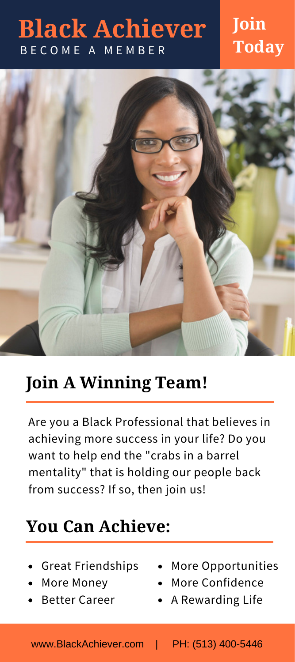## **Black Achiever** B E C O M E A M E M B E R

### **Join Today**



## **Join A Winning Team!**

Are you a Black Professional that believes in achieving more success in your life? Do you want to help end the "crabs in a barrel mentality" that is holding our people back from success? If so, then join us!

#### **You Can Achieve:**

- Great Friendships
- More Money
- Better Career
- More Opportunities
- More Confidence
- A Rewarding Life